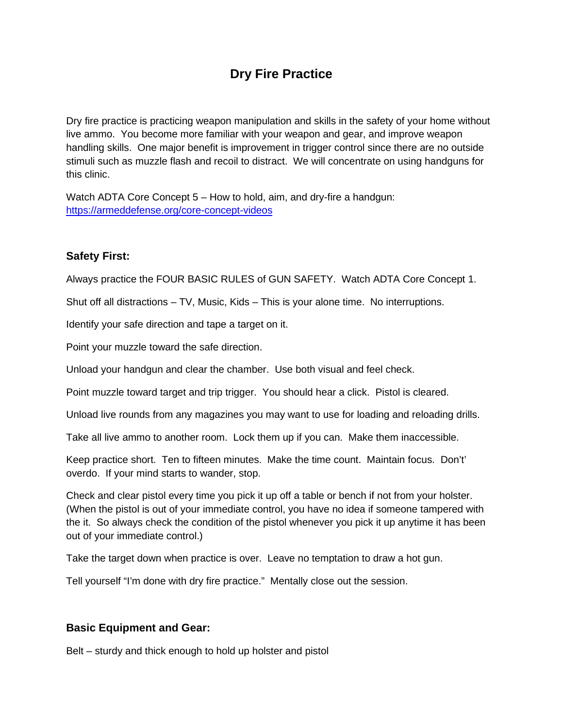# **Dry Fire Practice**

Dry fire practice is practicing weapon manipulation and skills in the safety of your home without live ammo. You become more familiar with your weapon and gear, and improve weapon handling skills. One major benefit is improvement in trigger control since there are no outside stimuli such as muzzle flash and recoil to distract. We will concentrate on using handguns for this clinic.

Watch ADTA Core Concept 5 – How to hold, aim, and dry-fire a handgun: <https://armeddefense.org/core-concept-videos>

## **Safety First:**

Always practice the FOUR BASIC RULES of GUN SAFETY. Watch ADTA Core Concept 1.

Shut off all distractions – TV, Music, Kids – This is your alone time. No interruptions.

Identify your safe direction and tape a target on it.

Point your muzzle toward the safe direction.

Unload your handgun and clear the chamber. Use both visual and feel check.

Point muzzle toward target and trip trigger. You should hear a click. Pistol is cleared.

Unload live rounds from any magazines you may want to use for loading and reloading drills.

Take all live ammo to another room. Lock them up if you can. Make them inaccessible.

Keep practice short. Ten to fifteen minutes. Make the time count. Maintain focus. Don't' overdo. If your mind starts to wander, stop.

Check and clear pistol every time you pick it up off a table or bench if not from your holster. (When the pistol is out of your immediate control, you have no idea if someone tampered with the it. So always check the condition of the pistol whenever you pick it up anytime it has been out of your immediate control.)

Take the target down when practice is over. Leave no temptation to draw a hot gun.

Tell yourself "I'm done with dry fire practice." Mentally close out the session.

#### **Basic Equipment and Gear:**

Belt – sturdy and thick enough to hold up holster and pistol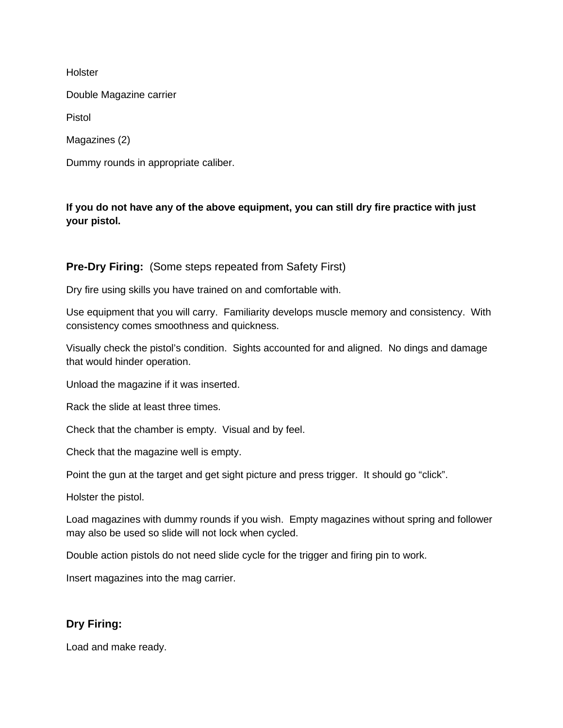**Holster** 

Double Magazine carrier

Pistol

Magazines (2)

Dummy rounds in appropriate caliber.

### **If you do not have any of the above equipment, you can still dry fire practice with just your pistol.**

#### **Pre-Dry Firing:** (Some steps repeated from Safety First)

Dry fire using skills you have trained on and comfortable with.

Use equipment that you will carry. Familiarity develops muscle memory and consistency. With consistency comes smoothness and quickness.

Visually check the pistol's condition. Sights accounted for and aligned. No dings and damage that would hinder operation.

Unload the magazine if it was inserted.

Rack the slide at least three times.

Check that the chamber is empty. Visual and by feel.

Check that the magazine well is empty.

Point the gun at the target and get sight picture and press trigger. It should go "click".

Holster the pistol.

Load magazines with dummy rounds if you wish. Empty magazines without spring and follower may also be used so slide will not lock when cycled.

Double action pistols do not need slide cycle for the trigger and firing pin to work.

Insert magazines into the mag carrier.

#### **Dry Firing:**

Load and make ready.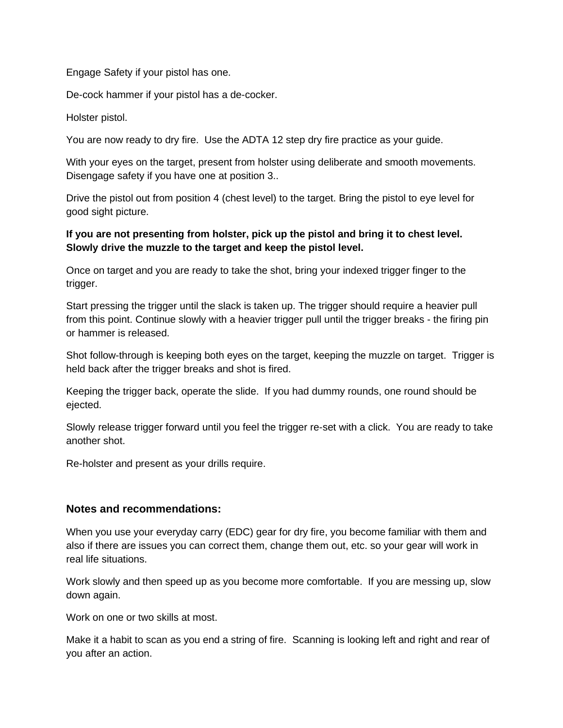Engage Safety if your pistol has one.

De-cock hammer if your pistol has a de-cocker.

Holster pistol.

You are now ready to dry fire. Use the ADTA 12 step dry fire practice as your guide.

With your eyes on the target, present from holster using deliberate and smooth movements. Disengage safety if you have one at position 3..

Drive the pistol out from position 4 (chest level) to the target. Bring the pistol to eye level for good sight picture.

#### **If you are not presenting from holster, pick up the pistol and bring it to chest level. Slowly drive the muzzle to the target and keep the pistol level.**

Once on target and you are ready to take the shot, bring your indexed trigger finger to the trigger.

Start pressing the trigger until the slack is taken up. The trigger should require a heavier pull from this point. Continue slowly with a heavier trigger pull until the trigger breaks - the firing pin or hammer is released.

Shot follow-through is keeping both eyes on the target, keeping the muzzle on target. Trigger is held back after the trigger breaks and shot is fired.

Keeping the trigger back, operate the slide. If you had dummy rounds, one round should be ejected.

Slowly release trigger forward until you feel the trigger re-set with a click. You are ready to take another shot.

Re-holster and present as your drills require.

#### **Notes and recommendations:**

When you use your everyday carry (EDC) gear for dry fire, you become familiar with them and also if there are issues you can correct them, change them out, etc. so your gear will work in real life situations.

Work slowly and then speed up as you become more comfortable. If you are messing up, slow down again.

Work on one or two skills at most.

Make it a habit to scan as you end a string of fire. Scanning is looking left and right and rear of you after an action.